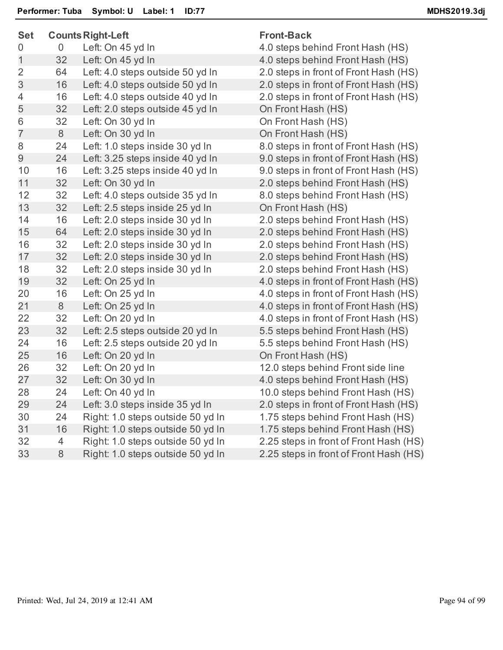| Set            |                | <b>Counts Right-Left</b>          | <b>Front-Back</b>                    |
|----------------|----------------|-----------------------------------|--------------------------------------|
| 0              | $\overline{0}$ | Left: On 45 yd In                 | 4.0 steps behind Front Hash (HS)     |
| 1              | 32             | Left: On 45 yd In                 | 4.0 steps behind Front Hash (HS)     |
| $\overline{2}$ | 64             | Left: 4.0 steps outside 50 yd In  | 2.0 steps in front of Front Hash (H) |
| 3              | 16             | Left: 4.0 steps outside 50 yd In  | 2.0 steps in front of Front Hash (H) |
| 4              | 16             | Left: 4.0 steps outside 40 yd In  | 2.0 steps in front of Front Hash (H) |
| 5              | 32             | Left: 2.0 steps outside 45 yd In  | On Front Hash (HS)                   |
| 6              | 32             | Left: On 30 yd In                 | On Front Hash (HS)                   |
| $\overline{7}$ | $8\,$          | Left: On 30 yd In                 | On Front Hash (HS)                   |
| 8              | 24             | Left: 1.0 steps inside 30 yd In   | 8.0 steps in front of Front Hash (H) |
| $\Theta$       | 24             | Left: 3.25 steps inside 40 yd In  | 9.0 steps in front of Front Hash (H) |
| 10             | 16             | Left: 3.25 steps inside 40 yd In  | 9.0 steps in front of Front Hash (H) |
| 11             | 32             | Left: On 30 yd In                 | 2.0 steps behind Front Hash (HS)     |
| 12             | 32             | Left: 4.0 steps outside 35 yd In  | 8.0 steps behind Front Hash (HS)     |
| 13             | 32             | Left: 2.5 steps inside 25 yd In   | On Front Hash (HS)                   |
| 14             | 16             | Left: 2.0 steps inside 30 yd In   | 2.0 steps behind Front Hash (HS)     |
| 15             | 64             | Left: 2.0 steps inside 30 yd In   | 2.0 steps behind Front Hash (HS)     |
| 16             | 32             | Left: 2.0 steps inside 30 yd In   | 2.0 steps behind Front Hash (HS)     |
| 17             | 32             | Left: 2.0 steps inside 30 yd In   | 2.0 steps behind Front Hash (HS)     |
| 18             | 32             | Left: 2.0 steps inside 30 yd In   | 2.0 steps behind Front Hash (HS)     |
| 19             | 32             | Left: On 25 yd In                 | 4.0 steps in front of Front Hash (H) |
| 20             | 16             | Left: On 25 yd In                 | 4.0 steps in front of Front Hash (H) |
| 21             | $8\,$          | Left: On 25 yd In                 | 4.0 steps in front of Front Hash (H) |
| 22             | 32             | Left: On 20 yd In                 | 4.0 steps in front of Front Hash (H) |
| 23             | 32             | Left: 2.5 steps outside 20 yd In  | 5.5 steps behind Front Hash (HS)     |
| 24             | 16             | Left: 2.5 steps outside 20 yd In  | 5.5 steps behind Front Hash (HS)     |
| 25             | 16             | Left: On 20 yd In                 | On Front Hash (HS)                   |
| 26             | 32             | Left: On 20 yd In                 | 12.0 steps behind Front side line    |
| 27             | 32             | Left: On 30 yd In                 | 4.0 steps behind Front Hash (HS)     |
| 28             | 24             | Left: On 40 yd In                 | 10.0 steps behind Front Hash (HS     |
| 29             | 24             | Left: 3.0 steps inside 35 yd In   | 2.0 steps in front of Front Hash (H) |
| 30             | 24             | Right: 1.0 steps outside 50 yd In | 1.75 steps behind Front Hash (HS     |
| 31             | 16             | Right: 1.0 steps outside 50 yd In | 1.75 steps behind Front Hash (HS     |
| 32             | 4              | Right: 1.0 steps outside 50 yd In | 2.25 steps in front of Front Hash (I |
| 33             | 8              | Right: 1.0 steps outside 50 yd In | 2.25 steps in front of Front Hash (I |
|                |                |                                   |                                      |

## **Front-Back**

4.0 steps behind Front Hash (HS) 2.0 steps in front of Front Hash (HS) 2.0 steps in front of Front Hash (HS) 2.0 steps in front of Front Hash (HS) On Front Hash (HS) On Front Hash (HS) On Front Hash (HS) 8.0 steps in front of Front Hash (HS) 9.0 steps in front of Front Hash (HS) 9.0 steps in front of Front Hash (HS) 2.0 steps behind Front Hash (HS) 8.0 steps behind Front Hash (HS) On Front Hash (HS) 2.0 steps behind Front Hash (HS) 2.0 steps behind Front Hash (HS) 2.0 steps behind Front Hash (HS) 2.0 steps behind Front Hash (HS) 2.0 steps behind Front Hash (HS) 4.0 steps in front of Front Hash (HS) 4.0 steps in front of Front Hash (HS) 4.0 steps in front of Front Hash (HS) 4.0 steps in front of Front Hash (HS) 5.5 steps behind Front Hash (HS) 5.5 steps behind Front Hash (HS) On Front Hash (HS) 12.0 steps behind Front side line 4.0 steps behind Front Hash (HS) 10.0 steps behind Front Hash (HS) 2.0 steps in front of Front Hash (HS) 1.75 steps behind Front Hash (HS) 1.75 steps behind Front Hash (HS) 2.25 steps in front of Front Hash (HS) 2.25 steps in front of Front Hash (HS)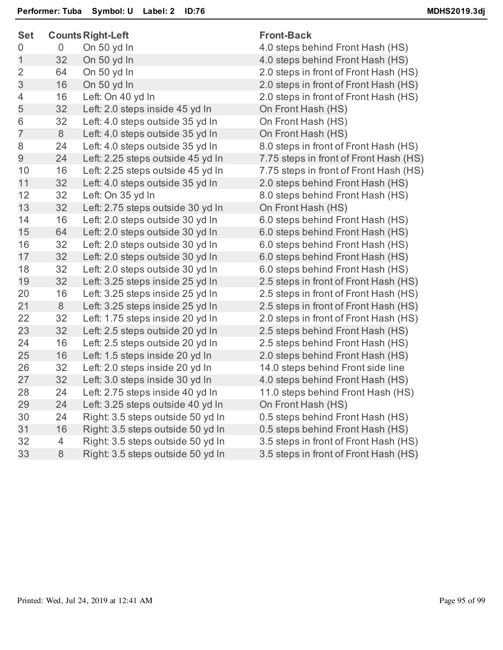| <b>Set</b>     | <b>Counts Right-Left</b> |                                   | <b>Front-Back</b>                      |  |
|----------------|--------------------------|-----------------------------------|----------------------------------------|--|
| 0              | 0                        | On 50 yd In                       | 4.0 steps behind Front Hash (HS)       |  |
| 1              | 32                       | On 50 yd In                       | 4.0 steps behind Front Hash (HS)       |  |
| $\overline{2}$ | 64                       | On 50 yd In                       | 2.0 steps in front of Front Hash (HS)  |  |
| 3              | 16                       | On 50 yd In                       | 2.0 steps in front of Front Hash (HS)  |  |
| 4              | 16                       | Left: On 40 yd In                 | 2.0 steps in front of Front Hash (HS)  |  |
| 5              | 32                       | Left: 2.0 steps inside 45 yd In   | On Front Hash (HS)                     |  |
| 6              | 32                       | Left: 4.0 steps outside 35 yd In  | On Front Hash (HS)                     |  |
| $\overline{7}$ | 8                        | Left: 4.0 steps outside 35 yd In  | On Front Hash (HS)                     |  |
| 8              | 24                       | Left: 4.0 steps outside 35 yd In  | 8.0 steps in front of Front Hash (HS)  |  |
| 9              | 24                       | Left: 2.25 steps outside 45 yd In | 7.75 steps in front of Front Hash (HS) |  |
| 10             | 16                       | Left: 2.25 steps outside 45 yd In | 7.75 steps in front of Front Hash (HS) |  |
| 11             | 32                       | Left: 4.0 steps outside 35 yd In  | 2.0 steps behind Front Hash (HS)       |  |
| 12             | 32                       | Left: On 35 yd In                 | 8.0 steps behind Front Hash (HS)       |  |
| 13             | 32                       | Left: 2.75 steps outside 30 yd In | On Front Hash (HS)                     |  |
| 14             | 16                       | Left: 2.0 steps outside 30 yd In  | 6.0 steps behind Front Hash (HS)       |  |
| 15             | 64                       | Left: 2.0 steps outside 30 yd In  | 6.0 steps behind Front Hash (HS)       |  |
| 16             | 32                       | Left: 2.0 steps outside 30 yd In  | 6.0 steps behind Front Hash (HS)       |  |
| 17             | 32                       | Left: 2.0 steps outside 30 yd In  | 6.0 steps behind Front Hash (HS)       |  |
| 18             | 32                       | Left: 2.0 steps outside 30 yd In  | 6.0 steps behind Front Hash (HS)       |  |
| 19             | 32                       | Left: 3.25 steps inside 25 yd In  | 2.5 steps in front of Front Hash (HS)  |  |
| 20             | 16                       | Left: 3.25 steps inside 25 yd In  | 2.5 steps in front of Front Hash (HS)  |  |
| 21             | 8                        | Left: 3.25 steps inside 25 yd In  | 2.5 steps in front of Front Hash (HS)  |  |
| 22             | 32                       | Left: 1.75 steps inside 20 yd In  | 2.0 steps in front of Front Hash (HS)  |  |
| 23             | 32                       | Left: 2.5 steps outside 20 yd In  | 2.5 steps behind Front Hash (HS)       |  |
| 24             | 16                       | Left: 2.5 steps outside 20 yd In  | 2.5 steps behind Front Hash (HS)       |  |
| 25             | 16                       | Left: 1.5 steps inside 20 yd In   | 2.0 steps behind Front Hash (HS)       |  |
| 26             | 32                       | Left: 2.0 steps inside 20 yd In   | 14.0 steps behind Front side line      |  |
| 27             | 32                       | Left: 3.0 steps inside 30 yd In   | 4.0 steps behind Front Hash (HS)       |  |
| 28             | 24                       | Left: 2.75 steps inside 40 yd In  | 11.0 steps behind Front Hash (HS)      |  |
| 29             | 24                       | Left: 3.25 steps outside 40 yd In | On Front Hash (HS)                     |  |
| 30             | 24                       | Right: 3.5 steps outside 50 yd In | 0.5 steps behind Front Hash (HS)       |  |
| 31             | 16                       | Right: 3.5 steps outside 50 yd In | 0.5 steps behind Front Hash (HS)       |  |
| 32             | 4                        | Right: 3.5 steps outside 50 yd In | 3.5 steps in front of Front Hash (HS)  |  |
| 33             | $\,8\,$                  | Right: 3.5 steps outside 50 yd In | 3.5 steps in front of Front Hash (HS)  |  |
|                |                          |                                   |                                        |  |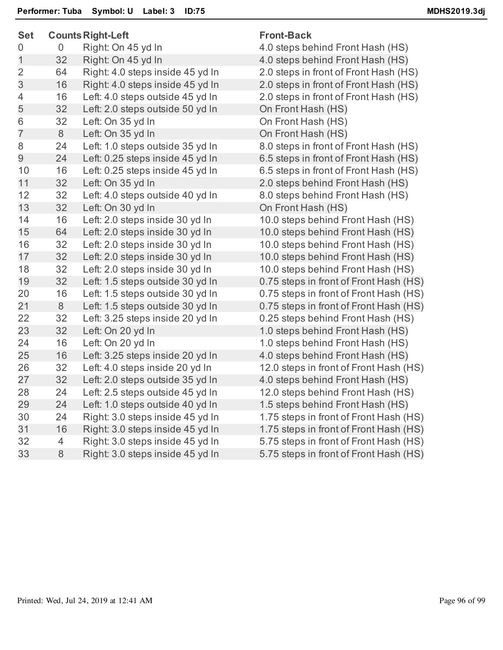| <b>Set</b>     |                | <b>Counts Right-Left</b>         | <b>Front-Back</b> |
|----------------|----------------|----------------------------------|-------------------|
| 0              | 0              | Right: On 45 yd In               | 4.0 steps be      |
| $\overline{1}$ | 32             | Right: On 45 yd In               | 4.0 steps be      |
| $\overline{2}$ | 64             | Right: 4.0 steps inside 45 yd In | 2.0 steps in      |
| $\mathfrak{S}$ | 16             | Right: 4.0 steps inside 45 yd In | 2.0 steps in      |
| $\overline{4}$ | 16             | Left: 4.0 steps outside 45 yd In | 2.0 steps in      |
| 5              | 32             | Left: 2.0 steps outside 50 yd In | On Front Ha       |
| 6              | 32             | Left: On 35 yd In                | On Front Ha       |
| $\overline{7}$ | 8              | Left: On 35 yd In                | On Front Ha       |
| 8              | 24             | Left: 1.0 steps outside 35 yd In | 8.0 steps in      |
| 9              | 24             | Left: 0.25 steps inside 45 yd In | 6.5 steps in      |
| 10             | 16             | Left: 0.25 steps inside 45 yd In | 6.5 steps in      |
| 11             | 32             | Left: On 35 yd In                | 2.0 steps be      |
| 12             | 32             | Left: 4.0 steps outside 40 yd In | 8.0 steps be      |
| 13             | 32             | Left: On 30 yd In                | On Front Ha       |
| 14             | 16             | Left: 2.0 steps inside 30 yd In  | 10.0 steps b      |
| 15             | 64             | Left: 2.0 steps inside 30 yd In  | 10.0 steps b      |
| 16             | 32             | Left: 2.0 steps inside 30 yd In  | 10.0 steps b      |
| 17             | 32             | Left: 2.0 steps inside 30 yd In  | 10.0 steps b      |
| 18             | 32             | Left: 2.0 steps inside 30 yd In  | 10.0 steps b      |
| 19             | 32             | Left: 1.5 steps outside 30 yd In | 0.75 steps ir     |
| 20             | 16             | Left: 1.5 steps outside 30 yd In | 0.75 steps ir     |
| 21             | 8              | Left: 1.5 steps outside 30 yd In | 0.75 steps ir     |
| 22             | 32             | Left: 3.25 steps inside 20 yd In | 0.25 steps b      |
| 23             | 32             | Left: On 20 yd In                | 1.0 steps be      |
| 24             | 16             | Left: On 20 yd In                | 1.0 steps be      |
| 25             | 16             | Left: 3.25 steps inside 20 yd In | 4.0 steps be      |
| 26             | 32             | Left: 4.0 steps inside 20 yd In  | 12.0 steps in     |
| 27             | 32             | Left: 2.0 steps outside 35 yd In | 4.0 steps be      |
| 28             | 24             | Left: 2.5 steps outside 45 yd In | 12.0 steps b      |
| 29             | 24             | Left: 1.0 steps outside 40 yd In | 1.5 steps be      |
| 30             | 24             | Right: 3.0 steps inside 45 yd In | 1.75 steps in     |
| 31             | 16             | Right: 3.0 steps inside 45 yd In | 1.75 steps in     |
| 32             | $\overline{4}$ | Right: 3.0 steps inside 45 yd In | 5.75 steps ir     |
| 33             | 8              | Right: 3.0 steps inside 45 yd In | 5.75 steps ir     |
|                |                |                                  |                   |

steps behind Front Hash (HS) steps behind Front Hash (HS) steps in front of Front Hash (HS) steps in front of Front Hash (HS) steps in front of Front Hash (HS) Front Hash (HS) Front Hash (HS) Front Hash (HS) steps in front of Front Hash (HS) steps in front of Front Hash (HS) steps in front of Front Hash (HS) steps behind Front Hash (HS) steps behind Front Hash (HS) Front Hash (HS) 1 Steps behind Front Hash (HS) 1 steps behind Front Hash (HS) 16 3 Steps behind Front Hash (HS) 1) steps behind Front Hash (HS) 1 Steps behind Front Hash (HS)  $5$  steps in front of Front Hash (HS) 5 steps in front of Front Hash (HS) 5 steps in front of Front Hash (HS) 5 steps behind Front Hash (HS) steps behind Front Hash (HS) steps behind Front Hash (HS) steps behind Front Hash (HS) 3 Steps in front of Front Hash (HS) steps behind Front Hash (HS) 3 Steps behind Front Hash (HS) steps behind Front Hash (HS) 5 steps in front of Front Hash (HS) 5 steps in front of Front Hash (HS) 5 steps in front of Front Hash (HS)  $5$  steps in front of Front Hash (HS)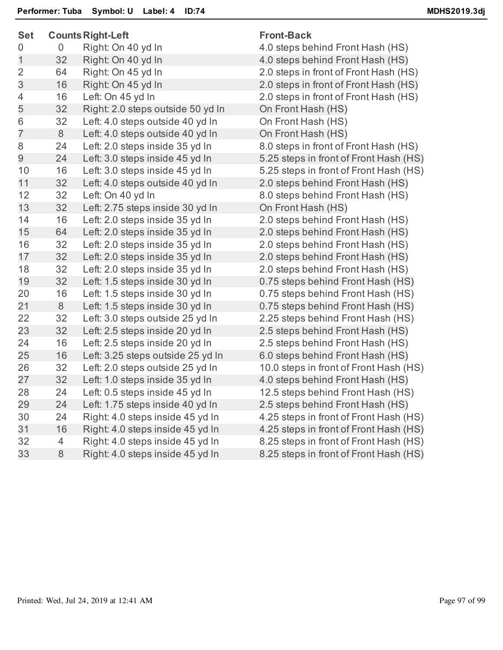| <b>Set</b>     | <b>Counts Right-Left</b> |                                   | <b>Front-Back</b>                      |  |
|----------------|--------------------------|-----------------------------------|----------------------------------------|--|
| 0              | $\overline{0}$           | Right: On 40 yd In                | 4.0 steps behind Front Hash (HS)       |  |
| 1              | 32                       | Right: On 40 yd In                | 4.0 steps behind Front Hash (HS)       |  |
| $\overline{2}$ | 64                       | Right: On 45 yd In                | 2.0 steps in front of Front Hash (HS)  |  |
| 3              | 16                       | Right: On 45 yd In                | 2.0 steps in front of Front Hash (HS)  |  |
| 4              | 16                       | Left: On 45 yd In                 | 2.0 steps in front of Front Hash (HS)  |  |
| 5              | 32                       | Right: 2.0 steps outside 50 yd In | On Front Hash (HS)                     |  |
| 6              | 32                       | Left: 4.0 steps outside 40 yd In  | On Front Hash (HS)                     |  |
| $\overline{7}$ | 8                        | Left: 4.0 steps outside 40 yd In  | On Front Hash (HS)                     |  |
| 8              | 24                       | Left: 2.0 steps inside 35 yd In   | 8.0 steps in front of Front Hash (HS)  |  |
| 9              | 24                       | Left: 3.0 steps inside 45 yd In   | 5.25 steps in front of Front Hash (HS) |  |
| 10             | 16                       | Left: 3.0 steps inside 45 yd In   | 5.25 steps in front of Front Hash (HS) |  |
| 11             | 32                       | Left: 4.0 steps outside 40 yd In  | 2.0 steps behind Front Hash (HS)       |  |
| 12             | 32                       | Left: On 40 yd In                 | 8.0 steps behind Front Hash (HS)       |  |
| 13             | 32                       | Left: 2.75 steps inside 30 yd In  | On Front Hash (HS)                     |  |
| 14             | 16                       | Left: 2.0 steps inside 35 yd In   | 2.0 steps behind Front Hash (HS)       |  |
| 15             | 64                       | Left: 2.0 steps inside 35 yd In   | 2.0 steps behind Front Hash (HS)       |  |
| 16             | 32                       | Left: 2.0 steps inside 35 yd In   | 2.0 steps behind Front Hash (HS)       |  |
| 17             | 32                       | Left: 2.0 steps inside 35 yd In   | 2.0 steps behind Front Hash (HS)       |  |
| 18             | 32                       | Left: 2.0 steps inside 35 yd In   | 2.0 steps behind Front Hash (HS)       |  |
| 19             | 32                       | Left: 1.5 steps inside 30 yd In   | 0.75 steps behind Front Hash (HS)      |  |
| 20             | 16                       | Left: 1.5 steps inside 30 yd In   | 0.75 steps behind Front Hash (HS)      |  |
| 21             | 8                        | Left: 1.5 steps inside 30 yd In   | 0.75 steps behind Front Hash (HS)      |  |
| 22             | 32                       | Left: 3.0 steps outside 25 yd In  | 2.25 steps behind Front Hash (HS)      |  |
| 23             | 32                       | Left: 2.5 steps inside 20 yd In   | 2.5 steps behind Front Hash (HS)       |  |
| 24             | 16                       | Left: 2.5 steps inside 20 yd In   | 2.5 steps behind Front Hash (HS)       |  |
| 25             | 16                       | Left: 3.25 steps outside 25 yd In | 6.0 steps behind Front Hash (HS)       |  |
| 26             | 32                       | Left: 2.0 steps outside 25 yd In  | 10.0 steps in front of Front Hash (HS) |  |
| 27             | 32                       | Left: 1.0 steps inside 35 yd In   | 4.0 steps behind Front Hash (HS)       |  |
| 28             | 24                       | Left: 0.5 steps inside 45 yd In   | 12.5 steps behind Front Hash (HS)      |  |
| 29             | 24                       | Left: 1.75 steps inside 40 yd In  | 2.5 steps behind Front Hash (HS)       |  |
| 30             | 24                       | Right: 4.0 steps inside 45 yd In  | 4.25 steps in front of Front Hash (HS) |  |
| 31             | 16                       | Right: 4.0 steps inside 45 yd In  | 4.25 steps in front of Front Hash (HS) |  |
| 32             | 4                        | Right: 4.0 steps inside 45 yd In  | 8.25 steps in front of Front Hash (HS) |  |
| 33             | 8                        | Right: 4.0 steps inside 45 yd In  | 8.25 steps in front of Front Hash (HS) |  |
|                |                          |                                   |                                        |  |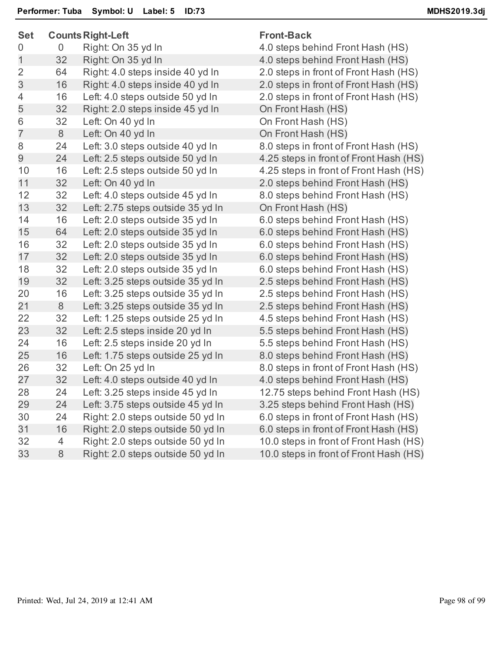| <b>Set</b> |                |                | <b>Counts Right-Left</b>          | <b>Front-Back</b>                      |  |
|------------|----------------|----------------|-----------------------------------|----------------------------------------|--|
|            | 0              | $\overline{0}$ | Right: On 35 yd In                | 4.0 steps behind Front Hash (HS)       |  |
|            | $\mathbf 1$    | 32             | Right: On 35 yd In                | 4.0 steps behind Front Hash (HS)       |  |
|            | $\overline{2}$ | 64             | Right: 4.0 steps inside 40 yd In  | 2.0 steps in front of Front Hash (HS)  |  |
|            | 3              | 16             | Right: 4.0 steps inside 40 yd In  | 2.0 steps in front of Front Hash (HS)  |  |
|            | 4              | 16             | Left: 4.0 steps outside 50 yd In  | 2.0 steps in front of Front Hash (HS)  |  |
|            | 5              | 32             | Right: 2.0 steps inside 45 yd In  | On Front Hash (HS)                     |  |
|            | 6              | 32             | Left: On 40 yd In                 | On Front Hash (HS)                     |  |
|            | $\overline{7}$ | 8              | Left: On 40 yd In                 | On Front Hash (HS)                     |  |
|            | 8              | 24             | Left: 3.0 steps outside 40 yd In  | 8.0 steps in front of Front Hash (HS)  |  |
|            | 9              | 24             | Left: 2.5 steps outside 50 yd In  | 4.25 steps in front of Front Hash (HS) |  |
|            | 10             | 16             | Left: 2.5 steps outside 50 yd In  | 4.25 steps in front of Front Hash (HS) |  |
|            | 11             | 32             | Left: On 40 yd In                 | 2.0 steps behind Front Hash (HS)       |  |
|            | 12             | 32             | Left: 4.0 steps outside 45 yd In  | 8.0 steps behind Front Hash (HS)       |  |
|            | 13             | 32             | Left: 2.75 steps outside 35 yd In | On Front Hash (HS)                     |  |
|            | 14             | 16             | Left: 2.0 steps outside 35 yd In  | 6.0 steps behind Front Hash (HS)       |  |
|            | 15             | 64             | Left: 2.0 steps outside 35 yd In  | 6.0 steps behind Front Hash (HS)       |  |
|            | 16             | 32             | Left: 2.0 steps outside 35 yd In  | 6.0 steps behind Front Hash (HS)       |  |
|            | 17             | 32             | Left: 2.0 steps outside 35 yd In  | 6.0 steps behind Front Hash (HS)       |  |
|            | 18             | 32             | Left: 2.0 steps outside 35 yd In  | 6.0 steps behind Front Hash (HS)       |  |
|            | 19             | 32             | Left: 3.25 steps outside 35 yd In | 2.5 steps behind Front Hash (HS)       |  |
|            | 20             | 16             | Left: 3.25 steps outside 35 yd In | 2.5 steps behind Front Hash (HS)       |  |
|            | 21             | 8              | Left: 3.25 steps outside 35 yd In | 2.5 steps behind Front Hash (HS)       |  |
|            | 22             | 32             | Left: 1.25 steps outside 25 yd In | 4.5 steps behind Front Hash (HS)       |  |
|            | 23             | 32             | Left: 2.5 steps inside 20 yd In   | 5.5 steps behind Front Hash (HS)       |  |
|            | 24             | 16             | Left: 2.5 steps inside 20 yd In   | 5.5 steps behind Front Hash (HS)       |  |
|            | 25             | 16             | Left: 1.75 steps outside 25 yd In | 8.0 steps behind Front Hash (HS)       |  |
|            | 26             | 32             | Left: On 25 yd In                 | 8.0 steps in front of Front Hash (HS)  |  |
|            | 27             | 32             | Left: 4.0 steps outside 40 yd In  | 4.0 steps behind Front Hash (HS)       |  |
|            | 28             | 24             | Left: 3.25 steps inside 45 yd In  | 12.75 steps behind Front Hash (HS)     |  |
|            | 29             | 24             | Left: 3.75 steps outside 45 yd In | 3.25 steps behind Front Hash (HS)      |  |
|            | 30             | 24             | Right: 2.0 steps outside 50 yd In | 6.0 steps in front of Front Hash (HS)  |  |
|            | 31             | 16             | Right: 2.0 steps outside 50 yd In | 6.0 steps in front of Front Hash (HS)  |  |
|            | 32             | 4              | Right: 2.0 steps outside 50 yd In | 10.0 steps in front of Front Hash (HS) |  |
|            | 33             | 8              | Right: 2.0 steps outside 50 yd In | 10.0 steps in front of Front Hash (HS) |  |
|            |                |                |                                   |                                        |  |